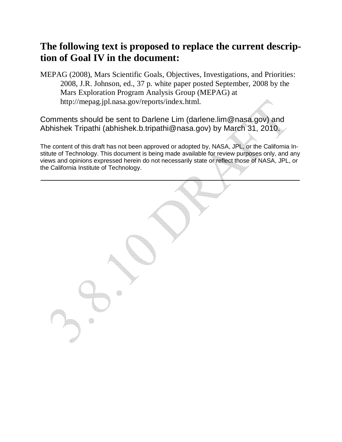# **The following text is proposed to replace the current description of Goal IV in the document:**

MEPAG (2008), Mars Scientific Goals, Objectives, Investigations, and Priorities: 2008, J.R. Johnson, ed., 37 p. white paper posted September, 2008 by the Mars Exploration Program Analysis Group (MEPAG) at http://mepag.jpl.nasa.gov/reports/index.html.

Comments should be sent to Darlene Lim (darlene.lim@nasa.gov) and Abhishek Tripathi (abhishek.b.tripathi@nasa.gov) by March 31, 2010.

The content of this draft has not been approved or adopted by, NASA, JPL, or the California Institute of Technology. This document is being made available for review purposes only, and any views and opinions expressed herein do not necessarily state or reflect those of NASA, JPL, or the California Institute of Technology.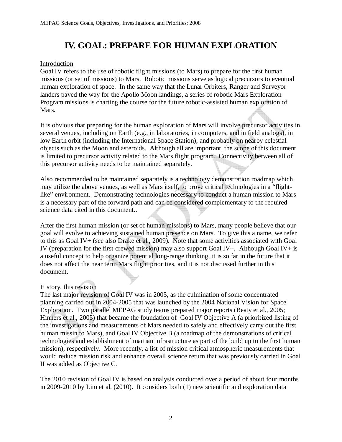# **IV. GOAL: PREPARE FOR HUMAN EXPLORATION**

## Introduction

Goal IV refers to the use of robotic flight missions (to Mars) to prepare for the first human missions (or set of missions) to Mars. Robotic missions serve as logical precursors to eventual human exploration of space. In the same way that the Lunar Orbiters, Ranger and Surveyor landers paved the way for the Apollo Moon landings, a series of robotic Mars Exploration Program missions is charting the course for the future robotic-assisted human exploration of Mars.

It is obvious that preparing for the human exploration of Mars will involve precursor activities in several venues, including on Earth (e.g., in laboratories, in computers, and in field analogs), in low Earth orbit (including the International Space Station), and probably on nearby celestial objects such as the Moon and asteroids. Although all are important, the scope of this document is limited to precursor activity related to the Mars flight program. Connectivity between all of this precursor activity needs to be maintained separately.

Also recommended to be maintained separately is a technology demonstration roadmap which may utilize the above venues, as well as Mars itself, to prove critical technologies in a "flightlike" environment. Demonstrating technologies necessary to conduct a human mission to Mars is a necessary part of the forward path and can be considered complementary to the required science data cited in this document..

After the first human mission (or set of human missions) to Mars, many people believe that our goal will evolve to achieving sustained human presence on Mars. To give this a name, we refer to this as Goal IV+ (see also Drake et al., 2009). Note that some activities associated with Goal IV (preparation for the first crewed mission) may also support Goal IV+. Although Goal IV+ is a useful concept to help organize potential long-range thinking, it is so far in the future that it does not affect the near term Mars flight priorities, and it is not discussed further in this document.

# History, this revision

The last major revision of Goal IV was in 2005, as the culmination of some concentrated planning carried out in 2004-2005 that was launched by the 2004 National Vision for Space Exploration. Two parallel MEPAG study teams prepared major reports (Beaty et al., 2005; Hinners et al., 2005) that became the foundation of Goal IV Objective A (a prioritized listing of the investigations and measurements of Mars needed to safely and effectively carry out the first human missin to Mars), and Goal IV Objective B (a roadmap of the demonstrations of critical technologies and establishment of martian infrastructure as part of the build up to the first human mission), respectively. More recently, a list of mission critical atmospheric measurements that would reduce mission risk and enhance overall science return that was previously carried in Goal II was added as Objective C.

The 2010 revision of Goal IV is based on analysis conducted over a period of about four months in 2009-2010 by Lim et al. (2010). It considers both (1) new scientific and exploration data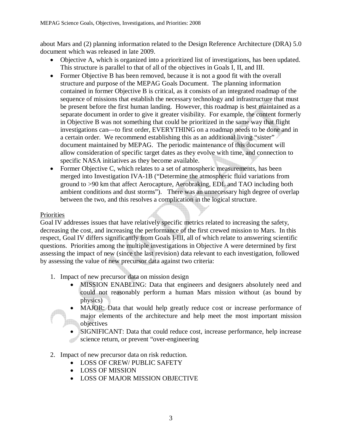about Mars and (2) planning information related to the Design Reference Architecture (DRA) 5.0 document which was released in late 2009.

- Objective A, which is organized into a prioritized list of investigations, has been updated. This structure is parallel to that of all of the objectives in Goals I, II, and III.
- Former Objective B has been removed, because it is not a good fit with the overall structure and purpose of the MEPAG Goals Document. The planning information contained in former Objective B is critical, as it consists of an integrated roadmap of the sequence of missions that establish the necessary technology and infrastructure that must be present before the first human landing. However, this roadmap is best maintained as a separate document in order to give it greater visibility. For example, the content formerly in Objective B was not something that could be prioritized in the same way that flight investigations can—to first order, EVERYTHING on a roadmap needs to be done and in a certain order. We recommend establishing this as an additional living "sister" document maintained by MEPAG. The periodic maintenance of this document will allow consideration of specific target dates as they evolve with time, and connection to specific NASA initiatives as they become available.
- Former Objective C, which relates to a set of atmospheric measurements, has been merged into Investigation IVA-1B ("Determine the atmospheric fluid variations from ground to >90 km that affect Aerocapture, Aerobraking, EDL and TAO including both ambient conditions and dust storms"). There was an unnecessary high degree of overlap between the two, and this resolves a complication in the logical structure.

## Priorities

Goal IV addresses issues that have relatively specific metrics related to increasing the safety, decreasing the cost, and increasing the performance of the first crewed mission to Mars. In this respect, Goal IV differs significantly from Goals I-III, all of which relate to answering scientific questions. Priorities among the multiple investigations in Objective A were determined by first assessing the impact of new (since the last revision) data relevant to each investigation, followed by assessing the value of new precursor data against two criteria:

- 1. Impact of new precursor data on mission design
	- MISSION ENABLING: Data that engineers and designers absolutely need and could not reasonably perform a human Mars mission without (as bound by physics)
	- MAJOR: Data that would help greatly reduce cost or increase performance of major elements of the architecture and help meet the most important mission **objectives**
	- SIGNIFICANT: Data that could reduce cost, increase performance, help increase science return, or prevent "over-engineering"
- 2. Impact of new precursor data on risk reduction.
	- LOSS OF CREW/ PUBLIC SAFETY
	- LOSS OF MISSION
	- LOSS OF MAJOR MISSION OBJECTIVE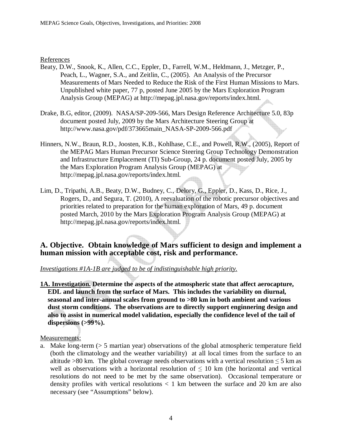#### References

- Beaty, D.W., Snook, K., Allen, C.C., Eppler, D., Farrell, W.M., Heldmann, J., Metzger, P., Peach, L., Wagner, S.A., and Zeitlin, C., (2005). An Analysis of the Precursor Measurements of Mars Needed to Reduce the Risk of the First Human Missions to Mars. Unpublished white paper, 77 p, posted June 2005 by the Mars Exploration Program Analysis Group (MEPAG) at http://mepag.jpl.nasa.gov/reports/index.html.
- Drake, B.G, editor, (2009). NASA/SP-209-566, Mars Design Reference Architecture 5.0, 83p document posted July, 2009 by the Mars Architecture Steering Group at http://www.nasa.gov/pdf/373665main\_NASA-SP-2009-566.pdf
- Hinners, N.W., Braun, R.D., Joosten, K.B., Kohlhase, C.E., and Powell, R.W., (2005), Report of the MEPAG Mars Human Precursor Science Steering Group Technology Demonstration and Infrastructure Emplacement (TI) Sub-Group, 24 p. document posted July, 2005 by the Mars Exploration Program Analysis Group (MEPAG) at http://mepag.jpl.nasa.gov/reports/index.html.
- Lim, D., Tripathi, A.B., Beaty, D.W., Budney, C., Delory, G., Eppler, D., Kass, D., Rice, J., Rogers, D., and Segura, T. (2010), A reevaluation of the robotic precursor objectives and priorities related to preparation for the human exploration of Mars, 49 p. document posted March, 2010 by the Mars Exploration Program Analysis Group (MEPAG) at http://mepag.jpl.nasa.gov/reports/index.html.

## **A. Objective. Obtain knowledge of Mars sufficient to design and implement a human mission with acceptable cost, risk and performance.**

*Investigations #1A-1B are judged to be of indistinguishable high priority.*

**1A. Investigation. Determine the aspects of the atmospheric state that affect aerocapture, EDL and launch from the surface of Mars. This includes the variability on diurnal, seasonal and inter-annual scales from ground to >80 km in both ambient and various dust storm conditions. The observations are to directly support enginnering design and also to assist in numerical model validation, especially the confidence level of the tail of dispersions (>99%).** 

### Measurements:

a. Make long-term (> 5 martian year) observations of the global atmospheric temperature field (both the climatology and the weather variability) at all local times from the surface to an altitude >80 km. The global coverage needs observations with a vertical resolution  $\leq$  5 km as well as observations with a horizontal resolution of  $\leq 10$  km (the horizontal and vertical resolutions do not need to be met by the same observation). Occasional temperature or density profiles with vertical resolutions  $\langle 1 \text{ km} \rangle$  between the surface and 20 km are also necessary (see "Assumptions" below).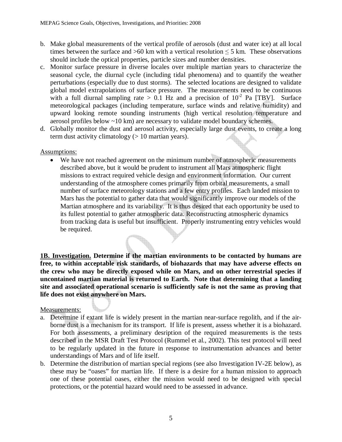- b. Make global measurements of the vertical profile of aerosols (dust and water ice) at all local times between the surface and >60 km with a vertical resolution  $\leq$  5 km. These observations should include the optical properties, particle sizes and number densities.
- c. Monitor surface pressure in diverse locales over multiple martian years to characterize the seasonal cycle, the diurnal cycle (including tidal phenomena) and to quantify the weather perturbations (especially due to dust storms). The selected locations are designed to validate global model extrapolations of surface pressure. The measurements need to be continuous with a full diurnal sampling rate  $> 0.1$  Hz and a precision of  $10^{-2}$  Pa [TBV]. Surface meteorological packages (including temperature, surface winds and relative humidity) and upward looking remote sounding instruments (high vertical resolution temperature and aerosol profiles below ~10 km) are necessary to validate model boundary schemes.
- d. Globally monitor the dust and aerosol activity, especially large dust events, to create a long term dust activity climatology (> 10 martian years).

### Assumptions:

• We have not reached agreement on the minimum number of atmospheric measurements described above, but it would be prudent to instrument all Mars atmospheric flight missions to extract required vehicle design and environment information. Our current understanding of the atmosphere comes primarily from orbital measurements, a small number of surface meteorology stations and a few entry profiles. Each landed mission to Mars has the potential to gather data that would significantly improve our models of the Martian atmosphere and its variability. It is thus desired that each opportunity be used to its fullest potential to gather atmospheric data. Reconstructing atmospheric dynamics from tracking data is useful but insufficient. Properly instrumenting entry vehicles would be required.

**1B. Investigation. Determine if the martian environments to be contacted by humans are free, to within acceptable risk standards, of biohazards that may have adverse effects on the crew who may be directly exposed while on Mars, and on other terrestrial species if uncontained martian material is returned to Earth. Note that determining that a landing site and associated operational scenario is sufficiently safe is not the same as proving that life does not exist anywhere on Mars.** 

### Measurements:

- a. Determine if extant life is widely present in the martian near-surface regolith, and if the airborne dust is a mechanism for its transport. If life is present, assess whether it is a biohazard. For both assessments, a preliminary desription of the required measurements is the tests described in the MSR Draft Test Protocol (Rummel et al., 2002). This test protocol will need to be regularly updated in the future in response to instrumentation advances and better understandings of Mars and of life itself.
- b. Determine the distribution of martian special regions (see also Investigation IV-2E below), as these may be "oases" for martian life. If there is a desire for a human mission to approach one of these potential oases, either the mission would need to be designed with special protections, or the potential hazard would need to be assessed in advance.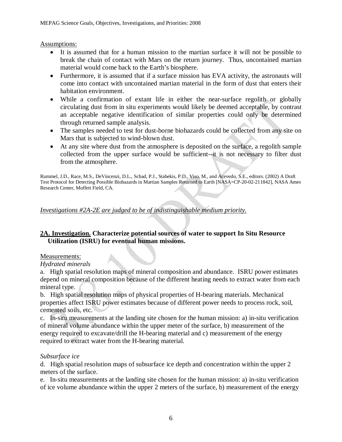#### Assumptions:

- It is assumed that for a human mission to the martian surface it will not be possible to break the chain of contact with Mars on the return journey. Thus, uncontained martian material would come back to the Earth's biosphere.
- Furthermore, it is assumed that if a surface mission has EVA activity, the astronauts will come into contact with uncontained martian material in the form of dust that enters their habitation environment.
- While a confirmation of extant life in either the near-surface regolith or globally circulating dust from in situ experiments would likely be deemed acceptable, by contrast an acceptable negative identification of similar properties could only be determined through returned sample analysis.
- The samples needed to test for dust-borne biohazards could be collected from any site on Mars that is subjected to wind-blown dust.
- At any site where dust from the atmosphere is deposited on the surface, a regolith sample collected from the upper surface would be sufficient--it is not necessary to filter dust from the atmosphere.

Rummel, J.D., Race, M.S., DeVincenzi, D.L., Schad, P.J., Stabekis, P.D., Viso, M., and Acevedo, S.E., editors. (2002) A Draft Test Protocol for Detecting Possible Biohazards in Martian Samples Returned to Earth [NASA=CP-20-02-211842], NASA Ames Research Center, Moffett Field, CA.

*Investigations #2A-2E are judged to be of indistinguishable medium priority.*

### **2A. Investigation. Characterize potential sources of water to support In Situ Resource Utilization (ISRU) for eventual human missions.**

### Measurements:

### *Hydrated minerals*

a. High spatial resolution maps of mineral composition and abundance. ISRU power estimates depend on mineral composition because of the different heating needs to extract water from each mineral type.

b. High spatial resolution maps of physical properties of H-bearing materials. Mechanical properties affect ISRU power estimates because of different power needs to process rock, soil, cemented soils, etc.

c. In-situ measurements at the landing site chosen for the human mission: a) in-situ verification of mineral volume abundance within the upper meter of the surface, b) measurement of the energy required to excavate/drill the H-bearing material and c) measurement of the energy required to extract water from the H-bearing material.

### *Subsurface ice*

d. High spatial resolution maps of subsurface ice depth and concentration within the upper 2 meters of the surface.

e. In-situ measurements at the landing site chosen for the human mission: a) in-situ verification of ice volume abundance within the upper 2 meters of the surface, b) measurement of the energy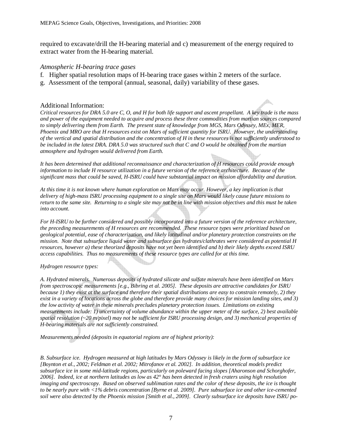required to excavate/drill the H-bearing material and c) measurement of the energy required to extract water from the H-bearing material.

#### *Atmospheric H-bearing trace gases*

- f. Higher spatial resolution maps of H-bearing trace gases within 2 meters of the surface.
- g. Assessment of the temporal (annual, seasonal, daily) variability of these gases.

#### Additional Information:

*Critical resources for DRA 5.0 are C, O, and H for both life support and ascent propellant. A key trade is the mass and power of the equipment needed to acquire and process these three commodities from martian sources compared to simply delivering them from Earth. The present state of knowledge from MGS, Mars Odyssey, MEx, MER, Phoenix and MRO are that H resources exist on Mars of sufficient quantity for ISRU. However, the understanding of the vertical and spatial distribution and the concentration of H in these resources is not sufficiently understood to be included in the latest DRA. DRA 5.0 was structured such that C and O would be obtained from the martian atmosphere and hydrogen would delivered from Earth.* 

*It has been determined that additional reconnaissance and characterization of H resources could provide enough information to include H resource utilization in a future version of the reference architecture. Because of the significant mass that could be saved, H-ISRU could have substantial impact on mission affordability and duration.* 

*At this time it is not known where human exploration on Mars may occur. However, a key implication is that delivery of high-mass ISRU processing equipment to a single site on Mars would likely cause future missions to return to the same site. Returning to a single site may not be in line with mission objectives and this must be taken into account.* 

*For H-ISRU to be further considered and possibly incorporated into a future version of the reference architecture, the preceding measurements of H resources are recommended. These resource types were prioritized based on geological potential, ease of characterization, and likely latitudinal and/or planetary protection constraints on the mission. Note that subsurface liquid water and subsurface gas hydrates/clathrates were considered as potential H resources, however a) these theorized deposits have not yet been identified and b) their likely depths exceed ISRU access capabilities. Thus no measurements of these resource types are called for at this time.* 

*Hydrogen resource types:* 

*A. Hydrated minerals. Numerous deposits of hydrated silicate and sulfate minerals have been identified on Mars from spectroscopic measurements [e.g., Bibring et al. 2005]. These deposits are attractive candidates for ISRU because 1) they exist at the surface and therefore their spatial distributions are easy to constrain remotely, 2) they exist in a variety of locations across the globe and therefore provide many choices for mission landing sites, and 3) the low activity of water in these minerals precludes planetary protection issues. Limitations on existing measurements include: 1) uncertainty of volume abundance within the upper meter of the surface, 2) best available spatial resolution (~20 m/pixel) may not be sufficient for ISRU processing design, and 3) mechanical properties of H-bearing materials are not sufficiently constrained.* 

*Measurements needed (deposits in equatorial regions are of highest priority):* 

*B. Subsurface ice. Hydrogen measured at high latitudes by Mars Odyssey is likely in the form of subsurface ice [Boynton et al., 2002; Feldman et al. 2002; Mitrofanov et al. 2002]. In addition, theoretical models predict subsurface ice in some mid-latitude regions, particularly on poleward facing slopes [Aharonson and Schorghofer, 2006]. Indeed, ice at northern latitudes as low as 42° has been detected in fresh craters using high resolution imaging and spectroscopy. Based on observed sublimation rates and the color of these deposits, the ice is thought to be nearly pure with <1% debris concentration [Byrne et al. 2009]. Pure subsurface ice and other ice-cemented soil were also detected by the Phoenix mission [Smith et al., 2009]. Clearly subsurface ice deposits have ISRU po-*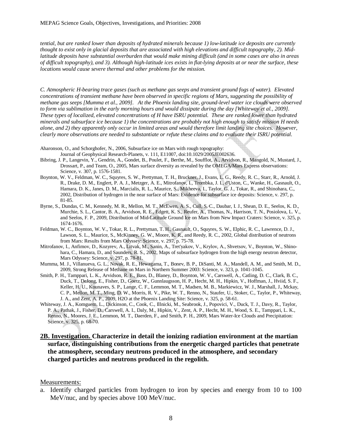*tential, but are ranked lower than deposits of hydrated minerals because 1) low-latitude ice deposits are currently thought to exist only in glacial deposits that are associated with high elevations and difficult topography, 2). Midlatitude deposits have substantial overburden that would make mining difficult (and in some cases are also in areas of difficult topography), and 3). Although high-latitude ices exists in flat-lying deposits at or near the surface, these locations would cause severe thermal and other problems for the mission.*

*C. Atmospheric H-bearing trace gases (such as methane gas seeps and transient ground fogs of water). Elevated concentrations of transient methane have been observed in specific regions of Mars, suggesting the possibility of methane gas seeps [Mumma et al., 2009]. At the Phoenix landing site, ground-level water ice clouds were observed to form via sublimation in the early morning hours and would dissipate during the day [Whiteway et al., 2009]. These types of localized, elevated concentrations of H have ISRU potential. These are ranked lower than hydrated minerals and subsurface ice because 1) the concentrations are probably not high enough to satisfy mission H needs*  alone, and 2) they apparently only occur in limited areas and would therefore limit landing site choices. However, *clearly more observations are needed to substantiate or refute these claims and to evaluate their ISRU potential.*

- Aharonson, O., and Schorghofer, N., 2006, Subsurface ice on Mars with rough topography:
	- Journal of Geophysical Research-Planets, v. 111, E11007, doi:10.1029/2005JE002636.
- Bibring, J. P., Langevin, Y., Gendrin, A., Gondet, B., Poulet, F., Berthe, M., Soufflot, A., Arvidson, R., Mangold, N., Mustard, J., Drossart, P., and Team, O., 2005, Mars surface diversity as revealed by the OMEGA/Mars Express observations: Science, v. 307, p. 1576-1581.
- Boynton, W. V., Feldman, W. C., Squyres, S. W., Prettyman, T. H., Bruckner, J., Evans, L. G., Reedy, R. C., Starr, R., Arnold, J. R., Drake, D. M., Englert, P. A. J., Metzger, A. E., Mitrofanov, I., Trombka, J. I., d'Uston, C., Wanke, H., Gasnault, O., Hamara, D. K., Janes, D. M., Marcialis, R. L., Maurice, S., Mikheeva, I., Taylor, G. J., Tokar, R., and Shinohara, C., 2002, Distribution of hydrogen in the near surface of Mars: Evidence for subsurface ice deposits: Science, v. 297, p. 81-85.
- Byrne, S., Dundas, C. M., Kennedy, M. R., Mellon, M. T., McEwen, A. S., Cull, S. C., Daubar, I. J., Shean, D. E., Seelos, K. D., Murchie, S. L., Cantor, B. A., Arvidson, R. E., Edgett, K. S., Reufer, A., Thomas, N., Harrison, T. N., Posiolova, L. V., and Seelos, F. P., 2009, Distribution of Mid-Latitude Ground Ice on Mars from New Impact Craters: Science, v. 325, p. 1674-1676.
- Feldman, W. C., Boynton, W. V., Tokar, R. L., Prettyman, T. H., Gasnault, O., Squyres, S. W., Elphic, R. C., Lawrence, D. J., Lawson, S. L., Maurice, S., McKinney, G. W., Moore, K. R., and Reedy, R. C., 2002, Global distribution of neutrons from Mars: Results from Mars Odyssey: Science, v. 297, p. 75-78.
- Mitrofanov, I., Anfimov, D., Kozyrev, A., Litvak, M., Sanin, A., Tret'yakov, V., Krylov, A., Shvetsov, V., Boynton, W., Shinohara, C., Hamara, D., and Saunders, R. S., 2002, Maps of subsurface hydrogen from the high energy neutron detector, Mars Odyssey: Science, v. 297, p. 78-81.
- Mumma, M. J., Villanueva, G. L., Novak, R. E., Hewagama, T., Bonev, B. P., DiSanti, M. A., Mandell, A. M., and Smith, M. D., 2009, Strong Release of Methane on Mars in Northern Summer 2003: Science, v. 323, p. 1041-1045.
- Smith, P. H., Tamppari, L. K., Arvidson, R. E., Bass, D., Blaney, D., Boynton, W. V., Carswell, A., Catling, D. C., Clark, B. C., Duck, T., DeJong, E., Fisher, D., Goetz, W., Gunnlaugsson, H. P., Hecht, M. H., Hipkin, V., Hoffman, J., Hviid, S. F., Keller, H. U., Kounaves, S. P., Lange, C. F., Lemmon, M. T., Madsen, M. B., Markiewicz, W. J., Marshall, J., Mckay, C. P., Mellon, M. T., Ming, D. W., Morris, R. V., Pike, W. T., Renno, N., Staufer, U., Stoker, C., Taylor, P., Whiteway, J. A., and Zent, A. P., 2009, H2O at the Phoenix Landing Site: Science, v. 325, p. 58-61.
- Whiteway, J. A., Komguem, L., Dickinson, C., Cook, C., Illnicki, M., Seabrook, J., Popovici, V., Duck, T. J., Davy, R., Taylor, P. A., Pathak, J., Fisher, D., Carswell, A. I., Daly, M., Hipkin, V., Zent, A. P., Hecht, M. H., Wood, S. E., Tamppari, L. K., Renno, N., Moores, J. E., Lemmon, M. T., Daerden, F., and Smith, P. H., 2009, Mars Water-Ice Clouds and Precipitation: Science, v. 325, p. 68-70.

#### **2B. Investigation. Characterize in detail the ionizing radiation environment at the martian surface, distinguishing contributions from the energetic charged particles that penetrate the atmosphere, secondary neutrons produced in the atmosphere, and secondary charged particles and neutrons produced in the regolith.**

#### Measurements:

a. Identify charged particles from hydrogen to iron by species and energy from 10 to 100 MeV/nuc, and by species above 100 MeV/nuc.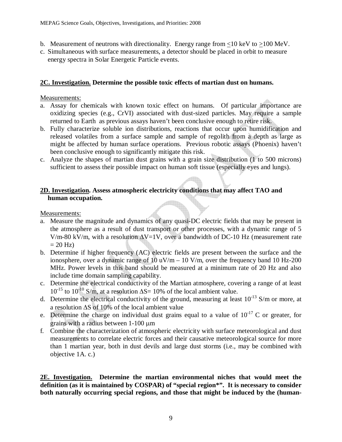- b. Measurement of neutrons with directionality. Energy range from  $\langle 10 \text{ keV to } \rangle 100 \text{ MeV}$ .
- c. Simultaneous with surface measurements, a detector should be placed in orbit to measure energy spectra in Solar Energetic Particle events.

## **2C. Investigation. Determine the possible toxic effects of martian dust on humans.**

### Measurements:

- a. Assay for chemicals with known toxic effect on humans. Of particular importance are oxidizing species (e.g., CrVI) associated with dust-sized particles. May require a sample returned to Earth as previous assays haven't been conclusive enough to retire risk.
- b. Fully characterize soluble ion distributions, reactions that occur upon humidification and released volatiles from a surface sample and sample of regolith from a depth as large as might be affected by human surface operations. Previous robotic assays (Phoenix) haven't been conclusive enough to significantly mitigate this risk.
- c. Analyze the shapes of martian dust grains with a grain size distribution (1 to 500 microns) sufficient to assess their possible impact on human soft tissue (especially eyes and lungs).

## **2D. Investigation. Assess atmospheric electricity conditions that may affect TAO and human occupation.**

Measurements:

- a. Measure the magnitude and dynamics of any quasi-DC electric fields that may be present in the atmosphere as a result of dust transport or other processes, with a dynamic range of 5 V/m-80 kV/m, with a resolution  $\Delta V=1V$ , over a bandwidth of DC-10 Hz (measurement rate  $= 20$  Hz)
- b. Determine if higher frequency (AC) electric fields are present between the surface and the ionosphere, over a dynamic range of  $10 \text{ uV/m} - 10 \text{ V/m}$ , over the frequency band 10 Hz-200 MHz. Power levels in this band should be measured at a minimum rate of 20 Hz and also include time domain sampling capability.
- c. Determine the electrical conductivity of the Martian atmosphere, covering a range of at least  $10^{-15}$  to  $10^{-10}$  S/m, at a resolution  $\Delta S = 10\%$  of the local ambient value.
- d. Determine the electrical conductivity of the ground, measuring at least  $10^{-13}$  S/m or more, at a resolution ∆S of 10% of the local ambient value
- e. Determine the charge on individual dust grains equal to a value of  $10^{-17}$  C or greater, for grains with a radius between 1-100 µm
- f. Combine the characterization of atmospheric electricity with surface meteorological and dust measurements to correlate electric forces and their causative meteorological source for more than 1 martian year, both in dust devils and large dust storms (i.e., may be combined with objective 1A. c.)

**2E. Investigation. Determine the martian environmental niches that would meet the definition (as it is maintained by COSPAR) of "special region\*". It is necessary to consider both naturally occurring special regions, and those that might be induced by the (human-**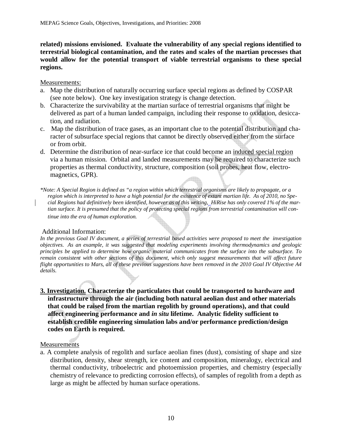#### **related) missions envisioned. Evaluate the vulnerability of any special regions identified to terrestrial biological contamination, and the rates and scales of the martian processes that would allow for the potential transport of viable terrestrial organisms to these special regions.**

#### Measurements:

- a. Map the distribution of naturally occurring surface special regions as defined by COSPAR (see note below). One key investigation strategy is change detection.
- b. Characterize the survivability at the martian surface of terrestrial organisms that might be delivered as part of a human landed campaign, including their response to oxidation, desiccation, and radiation.
- c. Map the distribution of trace gases, as an important clue to the potential distribution and character of subsurface special regions that cannot be directly observed either from the surface or from orbit.
- d. Determine the distribution of near-surface ice that could become an induced special region via a human mission. Orbital and landed measurements may be required to characterize such properties as thermal conductivity, structure, composition (soil probes, heat flow, electromagnetics, GPR).
- *\*Note: A Special Region is defined as "a region within which terrestrial organisms are likely to propagate, or a region which is interpreted to have a high potential for the existence of extant martian life. As of 2010, no Special Regions had definitively been identified, however as of this writing, HiRise has only covered 1% of the martian surface. It is presumed that the policy of protecting special regions from terrestrial contamination will continue into the era of human exploration.*

#### Additional Information:

*In the previous Goal IV document, a series of terrestrial based activities were proposed to meet the investigation objectives. As an example, it was suggested that modeling experiments involving thermodynamics and geologic principles be applied to determine how organic material communicates from the surface into the subsurface. To remain consistent with other sections of this document, which only suggest measurements that will affect future flight opportunities to Mars, all of these previous suggestions have been removed in the 2010 Goal IV Objective A4 details.*

**3. Investigation. Characterize the particulates that could be transported to hardware and infrastructure through the air (including both natural aeolian dust and other materials that could be raised from the martian regolith by ground operations), and that could affect engineering performance and** *in situ* **lifetime. Analytic fidelity sufficient to establish credible engineering simulation labs and/or performance prediction/design codes on Earth is required.** 

#### Measurements

a. A complete analysis of regolith and surface aeolian fines (dust), consisting of shape and size distribution, density, shear strength, ice content and composition, mineralogy, electrical and thermal conductivity, triboelectric and photoemission properties, and chemistry (especially chemistry of relevance to predicting corrosion effects), of samples of regolith from a depth as large as might be affected by human surface operations.